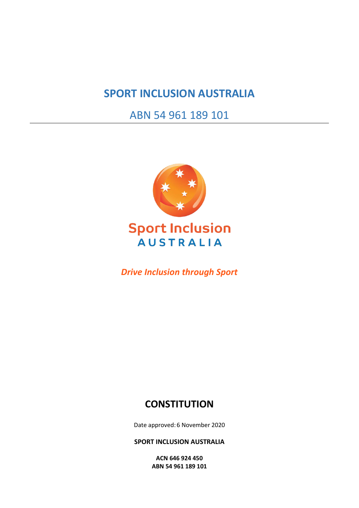## **SPORT INCLUSION AUSTRALIA**

ABN 54 961 189 101



# **Sport Inclusion AUSTRALIA**

*Drive Inclusion through Sport*

### **CONSTITUTION**

Date approved: 6 November 2020

**SPORT INCLUSION AUSTRALIA**

**ACN 646 924 450 ABN 54 961 189 101**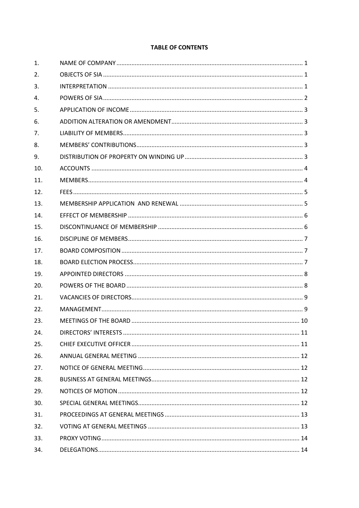#### **TABLE OF CONTENTS**

| 1.  |  |
|-----|--|
| 2.  |  |
| 3.  |  |
| 4.  |  |
| 5.  |  |
| 6.  |  |
| 7.  |  |
| 8.  |  |
| 9.  |  |
| 10. |  |
| 11. |  |
| 12. |  |
| 13. |  |
| 14. |  |
| 15. |  |
| 16. |  |
| 17. |  |
| 18. |  |
| 19. |  |
| 20. |  |
| 21. |  |
| 22. |  |
| 23. |  |
| 24. |  |
| 25. |  |
| 26. |  |
| 27. |  |
| 28. |  |
| 29. |  |
| 30. |  |
| 31. |  |
| 32. |  |
| 33. |  |
| 34. |  |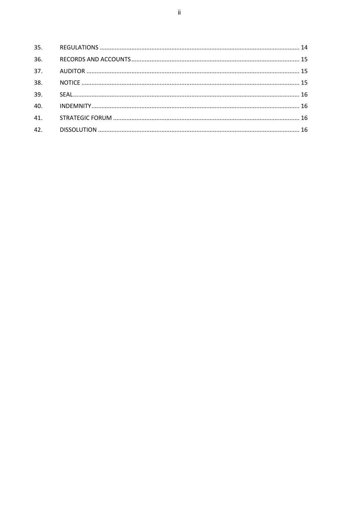| 36. |  |
|-----|--|
| 37. |  |
| 38. |  |
| 39. |  |
| 40. |  |
| 41. |  |
| 42. |  |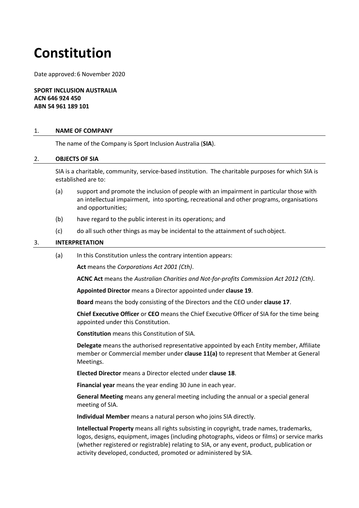# **Constitution**

Date approved: 6 November 2020

**SPORT INCLUSION AUSTRALIA ACN 646 924 450 ABN 54 961 189 101**

#### <span id="page-3-0"></span>1. **NAME OF COMPANY**

The name of the Company is Sport Inclusion Australia (**SIA**).

#### <span id="page-3-1"></span>2. **OBJECTS OF SIA**

SIA is a charitable, community, service-based institution. The charitable purposes for which SIA is established are to:

- (a) support and promote the inclusion of people with an impairment in particular those with an intellectual impairment, into sporting, recreational and other programs, organisations and opportunities;
- (b) have regard to the public interest in its operations; and
- (c) do all such other things as may be incidental to the attainment of suchobject.

#### <span id="page-3-2"></span>3. **INTERPRETATION**

(a) In this Constitution unless the contrary intention appears:

**Act** means the *Corporations Act 2001 (Cth)*.

**ACNC Act** means the *Australian Charities and Not-for-profits Commission Act 2012 (Cth)*.

**Appointed Director** means a Director appointed under **clause 19**.

**Board** means the body consisting of the Directors and the CEO under **clause [17](#page-9-1)**.

**Chief Executive Officer** or **CEO** means the Chief Executive Officer of SIA for the time being appointed under this Constitution.

**Constitution** means this Constitution of SIA.

**Delegate** means the authorised representative appointed by each Entity member, Affiliate member or Commercial member under **clause 11(a)** to represent that Member at General Meetings.

**Elected Director** means a Director elected under **clause 18**.

**Financial year** means the year ending 30 June in each year.

**General Meeting** means any general meeting including the annual or a special general meeting of SIA.

**Individual Member** means a natural person who joins SIA directly.

**Intellectual Property** means all rights subsisting in copyright, trade names, trademarks, logos, designs, equipment, images (including photographs, videos or films) or service marks (whether registered or registrable) relating to SIA, or any event, product, publication or activity developed, conducted, promoted or administered by SIA.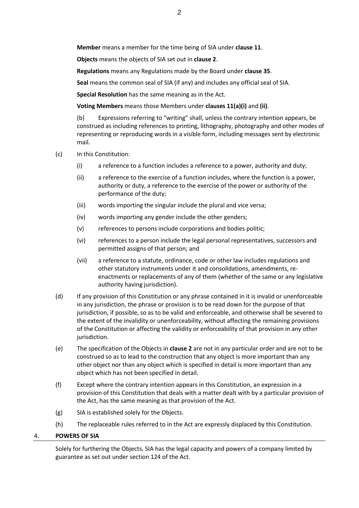**Member** means a member for the time being of SIA under **claus[e 11](#page-6-1)**.

**Objects** means the objects of SIA set out in **clause [2](#page-3-1)**.

**Regulations** means any Regulations made by the Board under **clause [35](#page-16-2)**.

**Seal** means the common seal of SIA (if any) and includes any official seal of SIA.

**Special Resolution** has the same meaning as in the Act.

**Voting Members** means those Members under **clauses 11(a)(i)** and **(ii)**.

(b) Expressions referring to "writing" shall, unless the contrary intention appears, be construed as including references to printing, lithography, photography and other modes of representing or reproducing words in a visible form, including messages sent by electronic mail.

- (c) In this Constitution:
	- (i) a reference to a function includes a reference to a power, authority and duty;
	- (ii) a reference to the exercise of a function includes, where the function is a power, authority or duty, a reference to the exercise of the power or authority of the performance of the duty;
	- (iii) words importing the singular include the plural and vice versa;
	- (iv) words importing any gender include the other genders;
	- (v) references to persons include corporations and bodies politic;
	- (vi) references to a person include the legal personal representatives, successors and permitted assigns of that person; and
	- (vii) a reference to a statute, ordinance, code or other law includes regulations and other statutory instruments under it and consolidations, amendments, reenactments or replacements of any of them (whether of the same or any legislative authority having jurisdiction).
- (d) If any provision of this Constitution or any phrase contained in it is invalid or unenforceable in any jurisdiction, the phrase or provision is to be read down for the purpose of that jurisdiction, if possible, so as to be valid and enforceable, and otherwise shall be severed to the extent of the invalidity or unenforceability, without affecting the remaining provisions of the Constitution or affecting the validity or enforceability of that provision in any other jurisdiction.
- (e) The specification of the Objects in **claus[e 2](#page-3-1)** are not in any particular order and are not to be construed so as to lead to the construction that any object is more important than any other object nor than any object which is specified in detail is more important than any object which has not been specified in detail.
- (f) Except where the contrary intention appears in this Constitution, an expression in a provision of this Constitution that deals with a matter dealt with by a particular provision of the Act, has the same meaning as that provision of the Act.
- (g) SIA is established solely for the Objects.
- (h) The replaceable rules referred to in the Act are expressly displaced by this Constitution.

#### <span id="page-4-0"></span>4. **POWERS OF SIA**

Solely for furthering the Objects, SIA has the legal capacity and powers of a company limited by guarantee as set out under section 124 of the Act.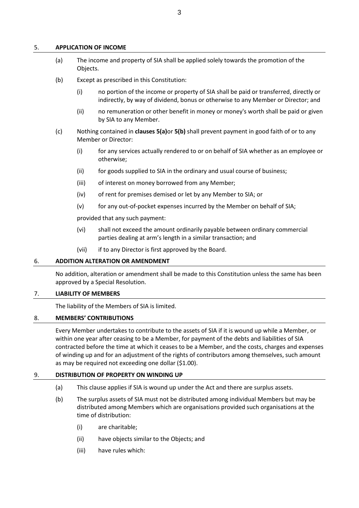#### <span id="page-5-5"></span><span id="page-5-0"></span>5. **APPLICATION OF INCOME**

- (a) The income and property of SIA shall be applied solely towards the promotion of the Objects.
- <span id="page-5-6"></span>(b) Except as prescribed in this Constitution:
	- (i) no portion of the income or property of SIA shall be paid or transferred, directly or indirectly, by way of dividend, bonus or otherwise to any Member or Director; and
	- (ii) no remuneration or other benefit in money or money's worth shall be paid or given by SIA to any Member.
- (c) Nothing contained in **clauses [5\(a\)](#page-5-5)**or **[5\(b\)](#page-5-6)** shall prevent payment in good faith of or to any Member or Director:
	- (i) for any services actually rendered to or on behalf of SIA whether as an employee or otherwise;
	- (ii) for goods supplied to SIA in the ordinary and usual course of business;
	- (iii) of interest on money borrowed from any Member;
	- (iv) of rent for premises demised or let by any Member to SIA; or
	- (v) for any out-of-pocket expenses incurred by the Member on behalf of SIA;

provided that any such payment:

- (vi) shall not exceed the amount ordinarily payable between ordinary commercial parties dealing at arm's length in a similar transaction; and
- (vii) if to any Director is first approved by the Board.

#### <span id="page-5-1"></span>6. **ADDITION ALTERATION OR AMENDMENT**

No addition, alteration or amendment shall be made to this Constitution unless the same has been approved by a Special Resolution.

#### <span id="page-5-2"></span>7. **LIABILITY OF MEMBERS**

The liability of the Members of SIA is limited.

#### <span id="page-5-3"></span>8. **MEMBERS' CONTRIBUTIONS**

Every Member undertakes to contribute to the assets of SIA if it is wound up while a Member, or within one year after ceasing to be a Member, for payment of the debts and liabilities of SIA contracted before the time at which it ceases to be a Member, and the costs, charges and expenses of winding up and for an adjustment of the rights of contributors among themselves, such amount as may be required not exceeding one dollar (\$1.00).

#### <span id="page-5-4"></span>9. **DISTRIBUTION OF PROPERTY ON WINDING UP**

- (a) This clause applies if SIA is wound up under the Act and there are surplus assets.
- (b) The surplus assets of SIA must not be distributed among individual Members but may be distributed among Members which are organisations provided such organisations at the time of distribution:
	- (i) are charitable;
	- (ii) have objects similar to the Objects; and
	- (iii) have rules which: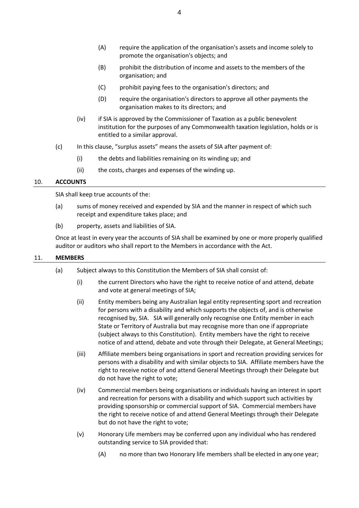- (A) require the application of the organisation's assets and income solely to promote the organisation's objects; and
- (B) prohibit the distribution of income and assets to the members of the organisation; and
- (C) prohibit paying fees to the organisation's directors; and
- (D) require the organisation's directors to approve all other payments the organisation makes to its directors; and
- (iv) if SIA is approved by the Commissioner of Taxation as a public benevolent institution for the purposes of any Commonwealth taxation legislation, holds or is entitled to a similar approval.
- (c) In this clause, "surplus assets" means the assets of SIA after payment of:
	- (i) the debts and liabilities remaining on its winding up; and
	- (ii) the costs, charges and expenses of the winding up.

#### <span id="page-6-0"></span>10. **ACCOUNTS**

SIA shall keep true accounts of the:

- (a) sums of money received and expended by SIA and the manner in respect of which such receipt and expenditure takes place; and
- (b) property, assets and liabilities of SIA.

Once at least in every year the accounts of SIA shall be examined by one or more properly qualified auditor or auditors who shall report to the Members in accordance with the Act.

#### <span id="page-6-1"></span>11. **MEMBERS**

- (a) Subject always to this Constitution the Members of SIA shall consist of:
	- (i) the current Directors who have the right to receive notice of and attend, debate and vote at general meetings of SIA;
	- (ii) Entity members being any Australian legal entity representing sport and recreation for persons with a disability and which supports the objects of, and is otherwise recognised by, SIA.SIA will generally only recognise one Entity member in each State or Territory of Australia but may recognise more than one if appropriate (subject always to this Constitution). Entity members have the right to receive notice of and attend, debate and vote through their Delegate, at General Meetings;
	- (iii) Affiliate members being organisations in sport and recreation providing services for persons with a disability and with similar objects to SIA. Affiliate members have the right to receive notice of and attend General Meetings through their Delegate but do not have the right to vote;
	- (iv) Commercial members being organisations or individuals having an interest in sport and recreation for persons with a disability and which support such activities by providing sponsorship or commercial support of SIA. Commercial members have the right to receive notice of and attend General Meetings through their Delegate but do not have the right to vote;
	- (v) Honorary Life members may be conferred upon any individual who has rendered outstanding service to SIA provided that:
		- (A) no more than two Honorary life members shall be elected in any one year;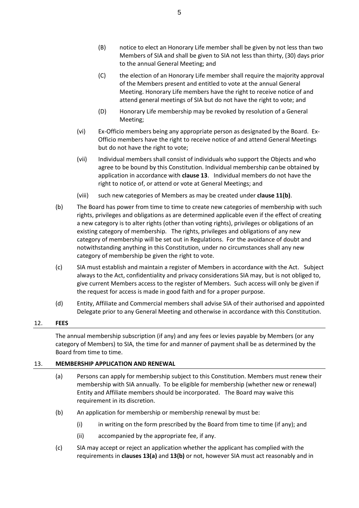- (B) notice to elect an Honorary Life member shall be given by not less than two Members of SIA and shall be given to SIA not less than thirty, (30) days prior to the annual General Meeting; and
- (C) the election of an Honorary Life member shall require the majority approval of the Members present and entitled to vote at the annual General Meeting. Honorary Life members have the right to receive notice of and attend general meetings of SIA but do not have the right to vote; and
- (D) Honorary Life membership may be revoked by resolution of a General Meeting;
- (vi) Ex-Officio members being any appropriate person as designated by the Board. Ex-Officio members have the right to receive notice of and attend General Meetings but do not have the right to vote;
- (vii) Individual members shall consist of individuals who support the Objects and who agree to be bound by this Constitution. Individual membership canbe obtained by application in accordance with **clause 13**. Individual members do not have the right to notice of, or attend or vote at General Meetings; and
- (viii) such new categories of Members as may be created under **clause 1[1\(b\)](#page-7-2)**.
- <span id="page-7-2"></span>(b) The Board has power from time to time to create new categories of membership with such rights, privileges and obligations as are determined applicable even if the effect of creating a new category is to alter rights (other than voting rights), privileges or obligations of an existing category of membership. The rights, privileges and obligations of any new category of membership will be set out in Regulations. For the avoidance of doubt and notwithstanding anything in this Constitution, under no circumstances shall any new category of membership be given the right to vote.
- (c) SIA must establish and maintain a register of Members in accordance with the Act. Subject always to the Act, confidentiality and privacy considerations SIA may, but is not obliged to, give current Members access to the register of Members. Such access will only be given if the request for access is made in good faith and for a proper purpose.
- (d) Entity, Affiliate and Commercial members shall advise SIA of their authorised and appointed Delegate prior to any General Meeting and otherwise in accordance with this Constitution.

#### <span id="page-7-0"></span>12. **FEES**

The annual membership subscription (if any) and any fees or levies payable by Members (or any category of Members) to SIA, the time for and manner of payment shall be as determined by the Board from time to time.

#### <span id="page-7-3"></span><span id="page-7-1"></span>13. **MEMBERSHIP APPLICATION AND RENEWAL**

- (a) Persons can apply for membership subject to this Constitution. Members must renew their membership with SIA annually. To be eligible for membership (whether new or renewal) Entity and Affiliate members should be incorporated. The Board may waive this requirement in its discretion.
- (b) An application for membership or membership renewal by must be:
	- (i) in writing on the form prescribed by the Board from time to time (if any); and
	- (ii) accompanied by the appropriate fee, if any.
- (c) SIA may accept or reject an application whether the applicant has complied with the requirements in **clauses [13\(a\)](#page-7-3)** and **13(b)** or not, however SIA must act reasonably and in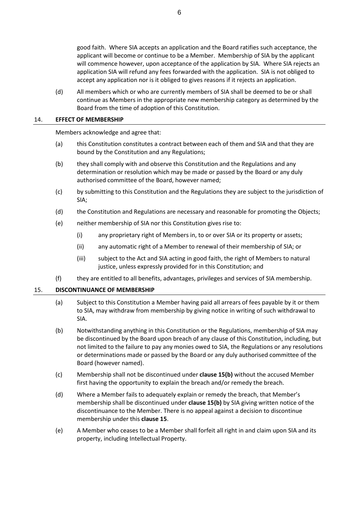good faith. Where SIA accepts an application and the Board ratifies such acceptance, the applicant will become or continue to be a Member. Membership of SIA by the applicant will commence however, upon acceptance of the application by SIA. Where SIA rejects an application SIA will refund any fees forwarded with the application. SIA is not obliged to accept any application nor is it obliged to gives reasons if it rejects an application.

(d) All members which or who are currently members of SIA shall be deemed to be or shall continue as Members in the appropriate new membership category as determined by the Board from the time of adoption of this Constitution.

#### <span id="page-8-0"></span>14. **EFFECT OF MEMBERSHIP**

Members acknowledge and agree that:

- (a) this Constitution constitutes a contract between each of them and SIA and that they are bound by the Constitution and any Regulations;
- (b) they shall comply with and observe this Constitution and the Regulations and any determination or resolution which may be made or passed by the Board or any duly authorised committee of the Board, however named;
- (c) by submitting to this Constitution and the Regulations they are subject to the jurisdiction of SIA;
- (d) the Constitution and Regulations are necessary and reasonable for promoting the Objects;
- (e) neither membership of SIA nor this Constitution gives rise to:
	- (i) any proprietary right of Members in, to or over SIA or its property or assets;
	- (ii) any automatic right of a Member to renewal of their membership of SIA; or
	- (iii) subject to the Act and SIA acting in good faith, the right of Members to natural justice, unless expressly provided for in this Constitution; and
- (f) they are entitled to all benefits, advantages, privileges and services of SIA membership.

#### <span id="page-8-1"></span>15. **DISCONTINUANCE OF MEMBERSHIP**

- (a) Subject to this Constitution a Member having paid all arrears of fees payable by it or them to SIA, may withdraw from membership by giving notice in writing of such withdrawal to SIA.
- <span id="page-8-2"></span>(b) Notwithstanding anything in this Constitution or the Regulations, membership of SIA may be discontinued by the Board upon breach of any clause of this Constitution, including, but not limited to the failure to pay any monies owed to SIA, the Regulations or any resolutions or determinations made or passed by the Board or any duly authorised committee of the Board (however named).
- (c) Membership shall not be discontinued under **clause 1[5\(b\)](#page-8-2)** without the accused Member first having the opportunity to explain the breach and/or remedy the breach.
- (d) Where a Member fails to adequately explain or remedy the breach, that Member's membership shall be discontinued under **clause 1[5\(b\)](#page-8-2)** by SIA giving written notice of the discontinuance to the Member. There is no appeal against a decision to discontinue membership under this **clause 15**.
- (e) A Member who ceases to be a Member shall forfeit all right in and claim upon SIA and its property, including Intellectual Property.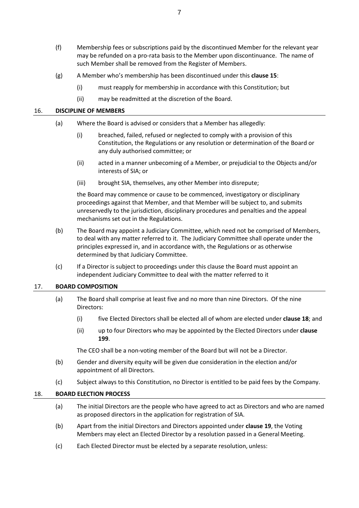- (f) Membership fees or subscriptions paid by the discontinued Member for the relevant year may be refunded on a pro-rata basis to the Member upon discontinuance. The name of such Member shall be removed from the Register of Members.
- (g) A Member who's membership has been discontinued under this **clause 15**:
	- (i) must reapply for membership in accordance with this Constitution; but
	- (ii) may be readmitted at the discretion of the Board.

#### <span id="page-9-0"></span>16. **DISCIPLINE OF MEMBERS**

- (a) Where the Board is advised or considers that a Member has allegedly:
	- (i) breached, failed, refused or neglected to comply with a provision of this Constitution, the Regulations or any resolution or determination of the Board or any duly authorised committee; or
	- (ii) acted in a manner unbecoming of a Member, or prejudicial to the Objects and/or interests of SIA; or
	- (iii) brought SIA, themselves, any other Member into disrepute;

the Board may commence or cause to be commenced, investigatory or disciplinary proceedings against that Member, and that Member will be subject to, and submits unreservedly to the jurisdiction, disciplinary procedures and penalties and the appeal mechanisms set out in the Regulations.

- (b) The Board may appoint a Judiciary Committee, which need not be comprised of Members, to deal with any matter referred to it. The Judiciary Committee shall operate under the principles expressed in, and in accordance with, the Regulations or as otherwise determined by that Judiciary Committee.
- (c) If a Director is subject to proceedings under this clause the Board must appoint an independent Judiciary Committee to deal with the matter referred to it

#### <span id="page-9-1"></span>17. **BOARD COMPOSITION**

- (a) The Board shall comprise at least five and no more than nine Directors. Of the nine Directors:
	- (i) five Elected Directors shall be elected all of whom are elected under **claus[e 18](#page-9-2)**; and
	- (ii) up to four Directors who may be appointed by the Elected Directors under **clause [199](#page-10-0)**.

The CEO shall be a non-voting member of the Board but will not be a Director.

- (b) Gender and diversity equity will be given due consideration in the election and/or appointment of all Directors.
- (c) Subject always to this Constitution, no Director is entitled to be paid fees by the Company.

#### <span id="page-9-2"></span>18. **BOARD ELECTION PROCESS**

- (a) The initial Directors are the people who have agreed to act as Directors and who are named as proposed directors in the application for registration of SIA.
- (b) Apart from the initial Directors and Directors appointed under **clause 19**, the Voting Members may elect an Elected Director by a resolution passed in a General Meeting.
- (c) Each Elected Director must be elected by a separate resolution, unless: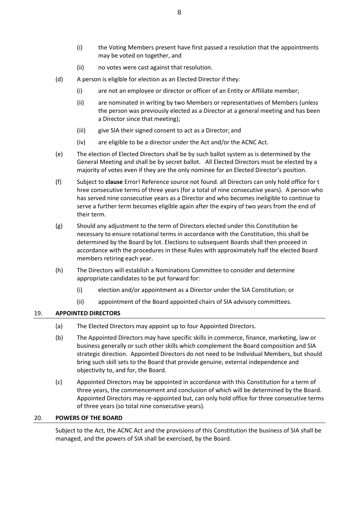- (i) the Voting Members present have first passed a resolution that the appointments may be voted on together, and
- (ii) no votes were cast against that resolution.
- (d) A person is eligible for election as an Elected Director if they:
	- (i) are not an employee or director or officer of an Entity or Affiliate member;
	- (ii) are nominated in writing by two Members or representatives of Members (unless the person was previously elected as a Director at a general meeting and has been a Director since that meeting);
	- (iii) give SIA their signed consent to act as a Director; and
	- (iv) are eligible to be a director under the Act and/or the ACNC Act.
- (e) The election of Elected Directors shall be by such ballot system as is determined by the General Meeting and shall be by secret ballot. All Elected Directors must be elected by a majority of votes even if they are the only nominee for an Elected Director's position.
- (f) Subject to **clause** Error! Reference source not found. all Directors can only hold office for t hree consecutive terms of three years (for a total of nine consecutive years). A person who has served nine consecutive years as a Director and who becomes ineligible to continue to serve a further term becomes eligible again after the expiry of two years from the end of their term.
- (g) Should any adjustment to the term of Directors elected under this Constitution be necessary to ensure rotational terms in accordance with the Constitution, this shall be determined by the Board by lot. Elections to subsequent Boards shall then proceed in accordance with the procedures in these Rules with approximately half the elected Board members retiring each year.
- (h) The Directors will establish a Nominations Committee to consider and determine appropriate candidates to be put forward for:
	- (i) election and/or appointment as a Director under the SIA Constitution; or
	- (ii) appointment of the Board appointed chairs of SIA advisory committees.

#### <span id="page-10-0"></span>19. **APPOINTED DIRECTORS**

- (a) The Elected Directors may appoint up to four Appointed Directors.
- (b) The Appointed Directors may have specific skills in commerce, finance, marketing, law or business generally or such other skills which complement the Board composition and SIA strategic direction. Appointed Directors do not need to be Individual Members, but should bring such skill sets to the Board that provide genuine, external independence and objectivity to, and for, the Board.
- (c) Appointed Directors may be appointed in accordance with this Constitution for a term of three years, the commencement and conclusion of which will be determined by the Board. Appointed Directors may re-appointed but, can only hold office for three consecutive terms of three years (so total nine consecutive years).

#### <span id="page-10-1"></span>20. **POWERS OF THE BOARD**

Subject to the Act, the ACNC Act and the provisions of this Constitution the business of SIA shall be managed, and the powers of SIA shall be exercised, by the Board.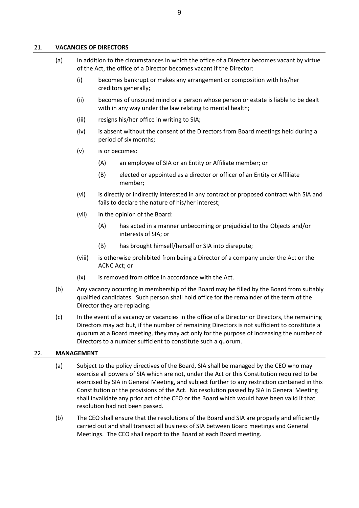#### <span id="page-11-0"></span>21. **VACANCIES OF DIRECTORS**

- (a) In addition to the circumstances in which the office of a Director becomes vacant by virtue of the Act, the office of a Director becomes vacant if the Director:
	- (i) becomes bankrupt or makes any arrangement or composition with his/her creditors generally;
	- (ii) becomes of unsound mind or a person whose person or estate is liable to be dealt with in any way under the law relating to mental health;
	- (iii) resigns his/her office in writing to SIA;
	- (iv) is absent without the consent of the Directors from Board meetings held during a period of six months;
	- (v) is or becomes:
		- (A) an employee of SIA or an Entity or Affiliate member; or
		- (B) elected or appointed as a director or officer of an Entity or Affiliate member;
	- (vi) is directly or indirectly interested in any contract or proposed contract with SIA and fails to declare the nature of his/her interest;
	- (vii) in the opinion of the Board:
		- (A) has acted in a manner unbecoming or prejudicial to the Objects and/or interests of SIA; or
		- (B) has brought himself/herself or SIA into disrepute;
	- (viii) is otherwise prohibited from being a Director of a company under the Act or the ACNC Act; or
	- (ix) is removed from office in accordance with the Act.
- (b) Any vacancy occurring in membership of the Board may be filled by the Board from suitably qualified candidates. Such person shall hold office for the remainder of the term of the Director they are replacing.
- (c) In the event of a vacancy or vacancies in the office of a Director or Directors, the remaining Directors may act but, if the number of remaining Directors is not sufficient to constitute a quorum at a Board meeting, they may act only for the purpose of increasing the number of Directors to a number sufficient to constitute such a quorum.

#### <span id="page-11-1"></span>22. **MANAGEMENT**

- (a) Subject to the policy directives of the Board, SIA shall be managed by the CEO who may exercise all powers of SIA which are not, under the Act or this Constitution required to be exercised by SIA in General Meeting, and subject further to any restriction contained in this Constitution or the provisions of the Act. No resolution passed by SIA in General Meeting shall invalidate any prior act of the CEO or the Board which would have been valid if that resolution had not been passed.
- (b) The CEO shall ensure that the resolutions of the Board and SIA are properly and efficiently carried out and shall transact all business of SIA between Board meetings and General Meetings. The CEO shall report to the Board at each Board meeting.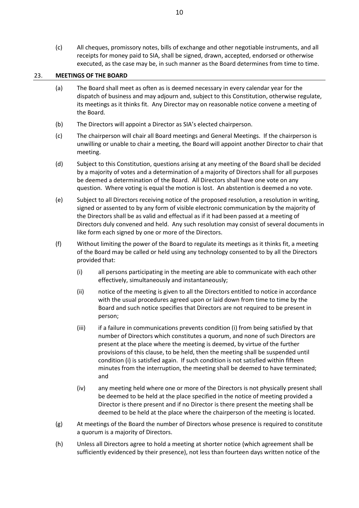(c) All cheques, promissory notes, bills of exchange and other negotiable instruments, and all receipts for money paid to SIA, shall be signed, drawn, accepted, endorsed or otherwise executed, as the case may be, in such manner as the Board determines from time to time.

#### <span id="page-12-0"></span>23. **MEETINGS OF THE BOARD**

- (a) The Board shall meet as often as is deemed necessary in every calendar year for the dispatch of business and may adjourn and, subject to this Constitution, otherwise regulate, its meetings as it thinks fit. Any Director may on reasonable notice convene a meeting of the Board.
- (b) The Directors will appoint a Director as SIA's elected chairperson.
- (c) The chairperson will chair all Board meetings and General Meetings. If the chairperson is unwilling or unable to chair a meeting, the Board will appoint another Director to chair that meeting.
- (d) Subject to this Constitution, questions arising at any meeting of the Board shall be decided by a majority of votes and a determination of a majority of Directors shall for all purposes be deemed a determination of the Board. All Directors shall have one vote on any question. Where voting is equal the motion is lost. An abstention is deemed a no vote.
- (e) Subject to all Directors receiving notice of the proposed resolution, a resolution in writing, signed or assented to by any form of visible electronic communication by the majority of the Directors shall be as valid and effectual as if it had been passed at a meeting of Directors duly convened and held. Any such resolution may consist of several documents in like form each signed by one or more of the Directors.
- (f) Without limiting the power of the Board to regulate its meetings as it thinks fit, a meeting of the Board may be called or held using any technology consented to by all the Directors provided that:
	- (i) all persons participating in the meeting are able to communicate with each other effectively, simultaneously and instantaneously;
	- (ii) notice of the meeting is given to all the Directors entitled to notice in accordance with the usual procedures agreed upon or laid down from time to time by the Board and such notice specifies that Directors are not required to be present in person;
	- (iii) if a failure in communications prevents condition (i) from being satisfied by that number of Directors which constitutes a quorum, and none of such Directors are present at the place where the meeting is deemed, by virtue of the further provisions of this clause, to be held, then the meeting shall be suspended until condition (i) is satisfied again. If such condition is not satisfied within fifteen minutes from the interruption, the meeting shall be deemed to have terminated; and
	- (iv) any meeting held where one or more of the Directors is not physically present shall be deemed to be held at the place specified in the notice of meeting provided a Director is there present and if no Director is there present the meeting shall be deemed to be held at the place where the chairperson of the meeting is located.
- (g) At meetings of the Board the number of Directors whose presence is required to constitute a quorum is a majority of Directors.
- (h) Unless all Directors agree to hold a meeting at shorter notice (which agreement shall be sufficiently evidenced by their presence), not less than fourteen days written notice of the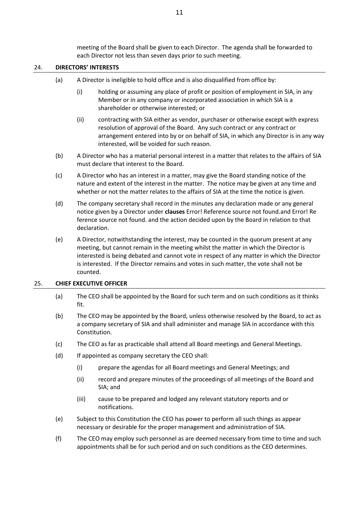meeting of the Board shall be given to each Director. The agenda shall be forwarded to each Director not less than seven days prior to such meeting.

#### <span id="page-13-0"></span>24. **DIRECTORS' INTERESTS**

- (a) A Director is ineligible to hold office and is also disqualified from office by:
	- (i) holding or assuming any place of profit or position of employment in SIA, in any Member or in any company or incorporated association in which SIA is a shareholder or otherwise interested; or
	- (ii) contracting with SIA either as vendor, purchaser or otherwise except with express resolution of approval of the Board. Any such contract or any contract or arrangement entered into by or on behalf of SIA, in which any Director is in any way interested, will be voided for such reason.
- (b) A Director who has a material personal interest in a matter that relates to the affairs of SIA must declare that interest to the Board.
- (c) A Director who has an interest in a matter, may give the Board standing notice of the nature and extent of the interest in the matter. The notice may be given at any time and whether or not the matter relates to the affairs of SIA at the time the notice is given.
- (d) The company secretary shall record in the minutes any declaration made or any general notice given by a Director under **clauses** Error! Reference source not found.and Error! Re ference source not found. and the action decided upon by the Board in relation to that declaration.
- (e) A Director, notwithstanding the interest, may be counted in the quorum present at any meeting, but cannot remain in the meeting whilst the matter in which the Director is interested is being debated and cannot vote in respect of any matter in which the Director is interested. If the Director remains and votes in such matter, the vote shall not be counted.

#### <span id="page-13-1"></span>25. **CHIEF EXECUTIVE OFFICER**

- (a) The CEO shall be appointed by the Board for such term and on such conditions as it thinks fit.
- (b) The CEO may be appointed by the Board, unless otherwise resolved by the Board, to act as a company secretary of SIA and shall administer and manage SIA in accordance with this Constitution.
- (c) The CEO as far as practicable shall attend all Board meetings and General Meetings.
- (d) If appointed as company secretary the CEO shall:
	- (i) prepare the agendas for all Board meetings and General Meetings; and
	- (ii) record and prepare minutes of the proceedings of all meetings of the Board and SIA; and
	- (iii) cause to be prepared and lodged any relevant statutory reports and or notifications.
- (e) Subject to this Constitution the CEO has power to perform all such things as appear necessary or desirable for the proper management and administration of SIA.
- (f) The CEO may employ such personnel as are deemed necessary from time to time and such appointments shall be for such period and on such conditions as the CEO determines.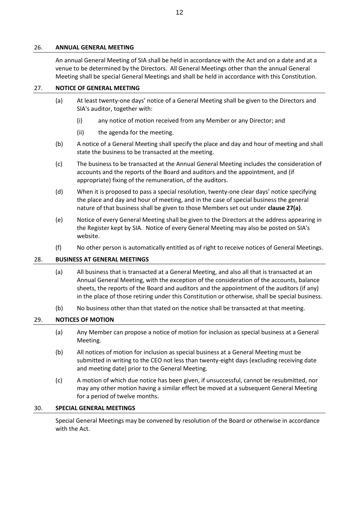#### <span id="page-14-0"></span>26. **ANNUAL GENERAL MEETING**

An annual General Meeting of SIA shall be held in accordance with the Act and on a date and at a venue to be determined by the Directors. All General Meetings other than the annual General Meeting shall be special General Meetings and shall be held in accordance with this Constitution.

#### <span id="page-14-5"></span><span id="page-14-1"></span>27. **NOTICE OF GENERAL MEETING**

- (a) At least twenty-one days' notice of a General Meeting shall be given to the Directors and SIA's auditor, together with:
	- (i) any notice of motion received from any Member or any Director; and
	- (ii) the agenda for the meeting.
- (b) A notice of a General Meeting shall specify the place and day and hour of meeting and shall state the business to be transacted at the meeting.
- (c) The business to be transacted at the Annual General Meeting includes the consideration of accounts and the reports of the Board and auditors and the appointment, and (if appropriate) fixing of the remuneration, of the auditors.
- (d) When it is proposed to pass a special resolution, twenty-one clear days' notice specifying the place and day and hour of meeting, and in the case of special business the general nature of that business shall be given to those Members set out under **clause [27\(a\)](#page-14-5)**.
- (e) Notice of every General Meeting shall be given to the Directors at the address appearing in the Register kept by SIA. Notice of every General Meeting may also be posted on SIA's website.
- (f) No other person is automatically entitled as of right to receive notices of General Meetings.

#### <span id="page-14-2"></span>28. **BUSINESS AT GENERAL MEETINGS**

- (a) All business that is transacted at a General Meeting, and also all that is transacted at an Annual General Meeting, with the exception of the consideration of the accounts, balance sheets, the reports of the Board and auditors and the appointment of the auditors (if any) in the place of those retiring under this Constitution or otherwise, shall be special business.
- (b) No business other than that stated on the notice shall be transacted at that meeting.

#### <span id="page-14-3"></span>29. **NOTICES OF MOTION**

- (a) Any Member can propose a notice of motion for inclusion as special business at a General Meeting.
- (b) All notices of motion for inclusion as special business at a General Meeting must be submitted in writing to the CEO not less than twenty-eight days (excluding receiving date and meeting date) prior to the General Meeting.
- (c) A motion of which due notice has been given, if unsuccessful, cannot be resubmitted, nor may any other motion having a similar effect be moved at a subsequent General Meeting for a period of twelve months.

#### <span id="page-14-4"></span>30. **SPECIAL GENERAL MEETINGS**

Special General Meetings may be convened by resolution of the Board or otherwise in accordance with the Act.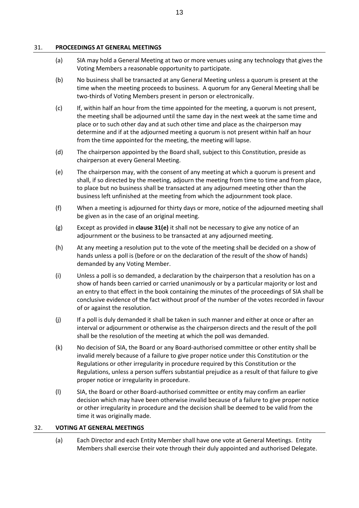#### <span id="page-15-0"></span>31. **PROCEEDINGS AT GENERAL MEETINGS**

- (a) SIA may hold a General Meeting at two or more venues using any technology that gives the Voting Members a reasonable opportunity to participate.
- (b) No business shall be transacted at any General Meeting unless a quorum is present at the time when the meeting proceeds to business. A quorum for any General Meeting shall be two-thirds of Voting Members present in person or electronically.
- (c) If, within half an hour from the time appointed for the meeting, a quorum is not present, the meeting shall be adjourned until the same day in the next week at the same time and place or to such other day and at such other time and place as the chairperson may determine and if at the adjourned meeting a quorum is not present within half an hour from the time appointed for the meeting, the meeting will lapse.
- (d) The chairperson appointed by the Board shall, subject to this Constitution, preside as chairperson at every General Meeting.
- <span id="page-15-2"></span>(e) The chairperson may, with the consent of any meeting at which a quorum is present and shall, if so directed by the meeting, adjourn the meeting from time to time and from place, to place but no business shall be transacted at any adjourned meeting other than the business left unfinished at the meeting from which the adjournment took place.
- (f) When a meeting is adjourned for thirty days or more, notice of the adjourned meeting shall be given as in the case of an original meeting.
- (g) Except as provided in **clause [31\(e\)](#page-15-2)** it shall not be necessary to give any notice of an adjournment or the business to be transacted at any adjourned meeting.
- (h) At any meeting a resolution put to the vote of the meeting shall be decided on a show of hands unless a poll is (before or on the declaration of the result of the show of hands) demanded by any Voting Member.
- (i) Unless a poll is so demanded, a declaration by the chairperson that a resolution has on a show of hands been carried or carried unanimously or by a particular majority or lost and an entry to that effect in the book containing the minutes of the proceedings of SIA shall be conclusive evidence of the fact without proof of the number of the votes recorded in favour of or against the resolution.
- (j) If a poll is duly demanded it shall be taken in such manner and either at once or after an interval or adjournment or otherwise as the chairperson directs and the result of the poll shall be the resolution of the meeting at which the poll was demanded.
- (k) No decision of SIA, the Board or any Board-authorised committee or other entity shall be invalid merely because of a failure to give proper notice under this Constitution or the Regulations or other irregularity in procedure required by this Constitution or the Regulations, unless a person suffers substantial prejudice as a result of that failure to give proper notice or irregularity in procedure.
- (l) SIA, the Board or other Board-authorised committee or entity may confirm an earlier decision which may have been otherwise invalid because of a failure to give proper notice or other irregularity in procedure and the decision shall be deemed to be valid from the time it was originally made.

#### <span id="page-15-1"></span>32. **VOTING AT GENERAL MEETINGS**

(a) Each Director and each Entity Member shall have one vote at General Meetings. Entity Members shall exercise their vote through their duly appointed and authorised Delegate.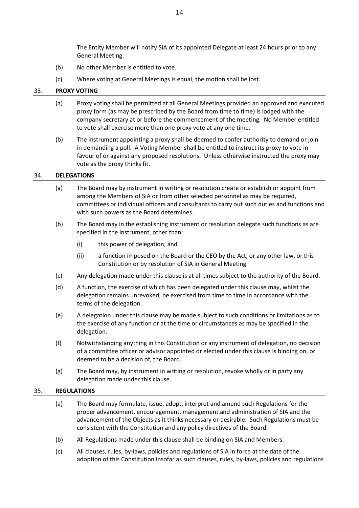The Entity Member will notify SIA of its appointed Delegate at least 24 hours prior to any General Meeting.

- (b) No other Member is entitled to vote.
- (c) Where voting at General Meetings is equal, the motion shall be lost.

#### <span id="page-16-0"></span>33. **PROXY VOTING**

- (a) Proxy voting shall be permitted at all General Meetings provided an approved and executed proxy form (as may be prescribed by the Board from time to time) is lodged with the company secretary at or before the commencement of the meeting. No Member entitled to vote shall exercise more than one proxy vote at any one time.
- (b) The instrument appointing a proxy shall be deemed to confer authority to demand or join in demanding a poll. A Voting Member shall be entitled to instruct its proxy to vote in favour of or against any proposed resolutions. Unless otherwise instructed the proxy may vote as the proxy thinks fit.

#### <span id="page-16-1"></span>34. **DELEGATIONS**

- (a) The Board may by instrument in writing or resolution create or establish or appoint from among the Members of SIA or from other selected personnel as may be required, committees or individual officers and consultants to carry out such duties and functions and with such powers as the Board determines.
- (b) The Board may in the establishing instrument or resolution delegate such functions as are specified in the instrument, other than:
	- (i) this power of delegation; and
	- (ii) a function imposed on the Board or the CEO by the Act, or any other law, or this Constitution or by resolution of SIA in General Meeting.
- (c) Any delegation made under this clause is at all times subject to the authority of the Board.
- (d) A function, the exercise of which has been delegated under this clause may, whilst the delegation remains unrevoked, be exercised from time to time in accordance with the terms of the delegation.
- (e) A delegation under this clause may be made subject to such conditions or limitations as to the exercise of any function or at the time or circumstances as may be specified in the delegation.
- (f) Notwithstanding anything in this Constitution or any instrument of delegation, no decision of a committee officer or advisor appointed or elected under this clause is binding on, or deemed to be a decision of, the Board.
- (g) The Board may, by instrument in writing or resolution, revoke wholly or in party any delegation made under this clause.

#### <span id="page-16-2"></span>35. **REGULATIONS**

- (a) The Board may formulate, issue, adopt, interpret and amend such Regulations for the proper advancement, encouragement, management and administration of SIA and the advancement of the Objects as it thinks necessary or desirable. Such Regulations must be consistent with the Constitution and any policy directives of the Board.
- (b) All Regulations made under this clause shall be binding on SIA and Members.
- (c) All clauses, rules, by-laws, policies and regulations of SIA in force at the date of the adoption of this Constitution insofar as such clauses, rules, by-laws, policies and regulations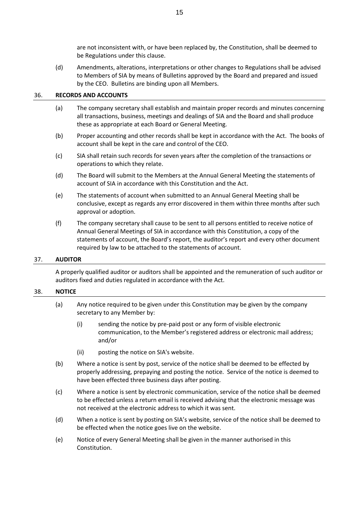are not inconsistent with, or have been replaced by, the Constitution, shall be deemed to be Regulations under this clause.

(d) Amendments, alterations, interpretations or other changes to Regulations shall be advised to Members of SIA by means of Bulletins approved by the Board and prepared and issued by the CEO. Bulletins are binding upon all Members.

#### <span id="page-17-0"></span>36. **RECORDS AND ACCOUNTS**

- (a) The company secretary shall establish and maintain proper records and minutes concerning all transactions, business, meetings and dealings of SIA and the Board and shall produce these as appropriate at each Board or General Meeting.
- (b) Proper accounting and other records shall be kept in accordance with the Act. The books of account shall be kept in the care and control of the CEO.
- (c) SIA shall retain such records for seven years after the completion of the transactions or operations to which they relate.
- (d) The Board will submit to the Members at the Annual General Meeting the statements of account of SIA in accordance with this Constitution and the Act.
- (e) The statements of account when submitted to an Annual General Meeting shall be conclusive, except as regards any error discovered in them within three months after such approval or adoption.
- (f) The company secretary shall cause to be sent to all persons entitled to receive notice of Annual General Meetings of SIA in accordance with this Constitution, a copy of the statements of account, the Board's report, the auditor's report and every other document required by law to be attached to the statements of account.

#### <span id="page-17-1"></span>37. **AUDITOR**

A properly qualified auditor or auditors shall be appointed and the remuneration of such auditor or auditors fixed and duties regulated in accordance with the Act.

#### <span id="page-17-2"></span>38. **NOTICE**

- (a) Any notice required to be given under this Constitution may be given by the company secretary to any Member by:
	- (i) sending the notice by pre-paid post or any form of visible electronic communication, to the Member's registered address or electronic mail address; and/or
	- (ii) posting the notice on SIA's website.
- (b) Where a notice is sent by post, service of the notice shall be deemed to be effected by properly addressing, prepaying and posting the notice. Service of the notice is deemed to have been effected three business days after posting.
- (c) Where a notice is sent by electronic communication, service of the notice shall be deemed to be effected unless a return email is received advising that the electronic message was not received at the electronic address to which it was sent.
- (d) When a notice is sent by posting on SIA's website, service of the notice shall be deemed to be effected when the notice goes live on the website.
- (e) Notice of every General Meeting shall be given in the manner authorised in this Constitution.